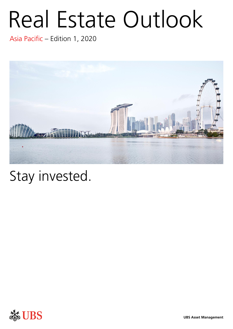# Real Estate Outlook

Asia Pacific – Edition 1, 2020



# Stay invested.

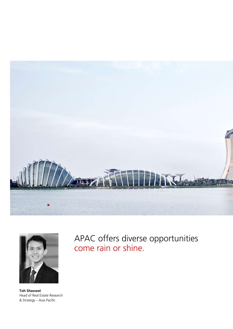



**Toh Shaowei** Head of Real Estate Research & Strategy – Asia Pacific

APAC offers diverse opportunities come rain or shine.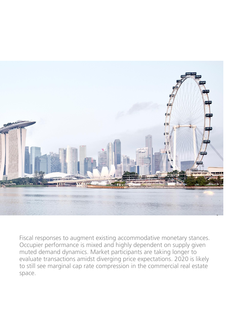

Fiscal responses to augment existing accommodative monetary stances. Occupier performance is mixed and highly dependent on supply given muted demand dynamics. Market participants are taking longer to evaluate transactions amidst diverging price expectations. 2020 is likely to still see marginal cap rate compression in the commercial real estate space.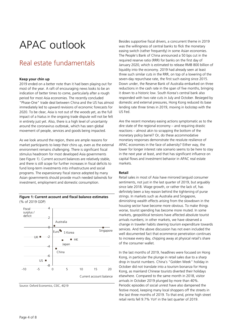## APAC outlook

### Real estate fundamentals

#### **Keep your chin up**

2019 ended on a better note than it had been playing out for most of the year. A raft of encouraging news looks to be an indication of better times to come, particularly after a rough period for most Asia economies. The recently concluded "Phase-One" trade deal between China and the US has almost immediately led to upward revisions of economic forecasts for 2020. To be clear, Asia is not out of the woods yet, as the full impact of a hiatus in the ongoing trade dispute will not be felt in entirety just yet. Also, there is a high level of uncertainty around the coronavirus outbreak, which has seen global movement of people, services and goods being impacted.

As we look around the region, there are ample reasons for market participants to keep their chins up, even as the external environment remains challenging. There is significant fiscal stimulus headroom for most developed Asia governments (see Figure 1). Current account balances are relatively stable, and there is still scope for further increases in fiscal deficits to fund long-term investments into infrastructure and social programs. The expansionary fiscal stance adopted by many Asian governments should provide much needed tailwinds for investment, employment and domestic consumption.

#### **Figure 1: Current account and fiscal balance estimates** (% of 2019 GDP)



Source: Oxford Economics, CEIC, 4Q19

Besides supportive fiscal drivers, a concurrent theme in 2019 was the willingness of central banks to flick the monetary easing switch (rather frequently) in some Asian economies. The People's Bank of China announced a 50 bps cut in the required reserve ratio (RRR) for banks on the first day of January 2020, which is estimated to release RMB 800 billion of liquidity into the economy. 2019 had already seen at least three such similar cuts in the RRR, on top of a lowering of the seven-day repurchase rate, the first such easing since 2015. Down under, the Reserve Bank of Australia embarked on three reductions in the cash rate in the span of five months, bringing it down to a historic low. South Korea's central bank also responded with two rate cuts in July and October. Besieged by domestic and external pressures, Hong Kong reduced its base lending rate three times in 2019, moving in lockstep with the US Fed.

Are the recent monetary easing actions symptomatic as to the dire state of the regional economy – and requiring drastic reactions – almost akin to scrapping the bottom of the monetary policy barrel? Or, do these accommodative monetary responses demonstrate the resolute resilience of APAC economies in the face of adversity? Either way, the lower for longer interest rate scenario seems to be here to stay in the next year at least, and that has significant influence on capital flows and investment behavior in APAC real estate markets.

#### **Retail**

Retail sales in most of Asia have mirrored languid consumer sentiments, not just in the last quarter of 2019, but arguably since late 2018. Wage growth, or rather the lack of, has definitely been a key reason behind the tightening of purse strings. In markets such as Australia and Singapore, diminishing wealth effects arising from the slowdown in the housing sector have become more obvious. To make things worse, tourist spending has become more muted. In some markets, geopolitical tensions have affected absolute tourist arrivals numbers; in other markets, we have observed a change in traveler habits steering tourism expenditure towards services. And the above discussion has not even included the well documented fact that ecommerce penetration continues to increase every day, chipping away at physical retail's share of the consumer wallet.

In the last months of 2019, headlines were focused on Hong Kong, in particular the plunge in retail sales due to a sharp drop in tourist numbers. China's "Golden Week" holiday in October did not translate into a tourism bonanza for Hong Kong, as mainland Chinese tourists diverted their holidays elsewhere. Compared to the same month in 2018, visitor arrivals in October 2019 plunged by more than 40%. Periodic episodes of social unrest have also dampened the festive mood, keeping many local shoppers off the streets in the last three months of 2019. To that end, prime high street retail rents fell 9.7% YoY in the last quarter of 2019.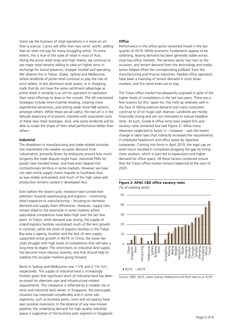Some say the business of retail operations is a more an art than a science. Cynics will offer their two cents' worth, adding that art does not pay for many struggling artists. To some extent, this is true of the state of retail in most of Asia. Along the prime retail strips and high streets, we continue to see major retail tenants willing to take on higher rents in exchange for brand presence, shopper footfall and spending. We observe this in Tokyo, Osaka, Sydney and Melbourne, where landlords of prime retail continue to play the role of price setters. In less dominant retail assets, or in shopping malls that do not have the same catchment advantage as prime retail, it certainly is an art for operators to reposition their retail offerings to draw in the crowds. The oft-mentioned strategies include omni-channel retailing, creating more experiential attractions, and setting aside more F&B options, amongst others. While these are all useful, the real art is in the delicate balancing of economic interests with associated costs of these new retail strategies. And, only some landlords will be able to sculpt the shape of their retail performance better than others.

#### **Industrial**

The slowdown in manufacturing and trade-related activities has manifested into weaker occupier demand from industrialists, primarily driven by ambiguity around how much longevity the trade dispute might have. Industrial PMIs for goods have trended lower, and have even dipped into contractionary territory in some markets. However we have not seen entire supply chains migrate to Southeast Asia, as was widely anticipated, and much of the high value-add production remains rooted in developed Asia.

Even before the recent cycle, investors have turned their attention towards warehousing and logistics – minimizing direct exposure to manufacturing – focusing on domestic demand and supply chain efficiencies. However, supply risks remain tilted to the downside in some markets where speculative completions have been high over the last few years. In Tokyo, while demand was strong, the supply of inland logistics facilities neutralized much of the rent growth. In contrast, while the stock of logistics facilities in the Tokyo Bay area is ageing, location and the lack of new supply supported rental growth in 4Q19. In China, the lower tier cities struggle with high levels of completions that will take a long time to digest. The restrictions on industrial land supply has become more obvious recently, and that should help to stabilize the occupier markets going forward.

Rents in Sydney and Melbourne rose 1.5% and 2.1% YoY, respectively. The supply of industrial land is increasingly limited, given that significant stock of industrial land has been re-zoned for alternate uses and infrastructure-related requirements. This imbalance is reflected by a notable rise in rents and industrial land values. In Singapore, the oversupply situation has improved considerably and in some subsegments, such as business parks, rents and occupancy have seen positive reversions. In the absence of any new known pipeline, the underlying demand for high quality industrial space is supportive of the business park segment in Singapore.

#### **Office**

Performance in the office sector remained mixed in the last quarter of 2019. While economic fundaments appear to be softening, leasing demand has been generally stable across most key office markets. The services sector has risen to the occasion, and tenant demand from the technology and media sector helped offset the corresponding pullback from the manufacturing and finance industries. Flexible office operators have been a mainstay of tenant demand in most Asian markets, and this trend looks set to stay.

The Tokyo office market has pleasantly surprised in spite of the higher levels of completions in the last two years. There are a few reasons for this. Japan Inc. has held up relatively well in the face of falling external demand and many corporates continue to sit on huge cash reserves. Landlords are mostly financially strong and are not motivated to reduce headline rents. As such, Grade A office rents have stayed firm and vacancy rates remained low (see Figure 2). What many observers neglected to factor in – however – was the recent change in labor laws that indirectly increased the requirements in employee headcount and office space by Japanese companies. Coming into force in April 2019, the legal cap on work hours resulted in companies plugging the gap by hiring more workers, which in part led to expansions and higher demand for office space. All these factors combined ensure that the Tokyo office market remains balanced at the start of 2020.

#### **Figure 2: APAC CBD office vacancy rates**  (% of existing stock)



Source: CBRE, 4Q19. Latest Sydney, Melbourne and Perth data as at 3Q19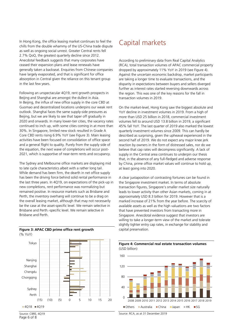In Hong Kong, the office leasing market continues to feel the chills from the double whammy of the US-China trade dispute as well as ongoing social unrest. Greater Central rents fell 2.7% QoQ, the greatest quarterly decline since 2012. Anecdotal feedback suggests that many corporates have ceased their expansion plans and lease renewals have generally taken a backseat. Enquiries from Chinese companies have largely evaporated, and that is significant for office absorption in Central given the reliance on this tenant group in the last few years.

Following an unspectacular 4Q19, rent growth prospects in Beijing and Shanghai are amongst the dullest in Asia. In Beijing, the influx of new office supply in the core CBD at Guomao and decentralized locations underpins our weak rent outlook. Shanghai faces the same supply-side pressures as Beijing, but we are likely to see that taper off gradually in 2020 and onwards. In many lower-tier cities, the vacancy rates continued to inch up, with some cities coming in at more than 30%. In Singapore, limited new stock resulted in Grade A Core CBD rents rising 6.9% YoY (see Figure 3). Main leasing activities have been focused on consolidation of office space and a general flight to quality. Purely from the supply side of the equation, the next wave of completions will occur post-2021, which is supportive of near-term rents and occupancy.

The Sydney and Melbourne office markets are displaying mid to late cycle characteristics albeit with a rather long tail. While demand has been firm, the dearth in net office supply has been the driving force behind solid rental performance in the last three years. In 4Q19, on expectations of the pick-up in new completions, rent performance was normalizing but remained positive. In resource markets such as Brisbane and Perth, the inventory overhang will continue to be a drag on the overall leasing market, although that may not necessarily be the case at the asset-specific level. We remain selective in Brisbane and Perth.-specific level. We remain selective in Brisbane and Perth.

#### **Figure 3: APAC CBD prime office rent growth** (% YoY)



Capital markets

According to preliminary data from Real Capital Analytics (RCA), total transaction volumes of APAC commercial property dropped by approximately 11% YoY in 2019 (see Figure 4). Against the uncertain economic backdrop, market participants are taking a longer time to evaluate transactions, and the disparity in expectations between buyers and sellers diverged further as interest rates started reversing downwards across the region. This was one of the key reasons for the fall in transaction volumes in 2019.

On the market-level, Hong Kong saw the biggest absolute and YoY decline in investment volumes in 2019. From a high of more than USD 25 billion in 2018, commercial investment volumes fell to around USD 13.8 billion in 2019, a significant 45% fall YoY. The last quarter of 2019 also marked the lowest quarterly investment volumes since 2009. This can hardly be described as surprising, given the upheaval experienced in the second half of 2019. We do not expect any major knee jerk reaction by owners in the form of distressed sales, nor do we believe that cap rates will decompress significantly. A lack of supply in the Central area continues to underpin our thesis that, in the absence of any full-fledged and adverse response by China, prime office market values will continue to hold up, at least going into 2020.

A clear juxtaposition of contrasting fortunes can be found in the Singapore investment market. In terms of absolute transaction figures, Singapore's smaller market size naturally leads to lower activity than other Asian markets, coming in at approximately USD 8.3 billion for 2019. However that is a marked increase of 21% from the year before. The scarcity of available assets as well as the high valuations are two factors that have prevented investors from transacting more in Singapore. Anecdotal evidence suggest that investors are willing to take a longer-term view of the market and tolerate slightly tighter entry cap rates, in exchange for stability and capital preservation.



**Figure 4: Commercial real estate transaction volumes** (USD billion)

Source: RCA, as at 31 December 2019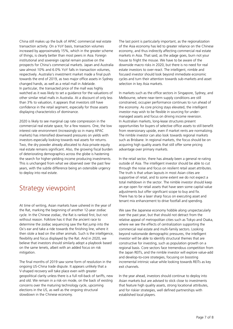China still makes up the bulk of APAC commercial real estate transaction activity. On a YoY basis, transaction volumes increased by approximately 15%, which in the greater scheme of things, is clearly better than most peers in Asia. Foreign institutional and sovereign capital remain positive on the prospects for China's commercial markets. Japan and Australia saw almost 10% and 6.0% YoY falls in transaction volumes, respectively. Australia's investment market made a final push towards the end of 2019, as two major office assets in Sydney changed hands, as well as a retail mall in Adelaide. In particular, the transacted price of the mall was highly watched as it was likely to set a guidance for the valuations of other similar retail malls in Australia. At a discount of only less than 3% to valuation, it appears that investors still have confidence in the retail segment, especially for those assets displaying characteristics of dominance.

2020 is likely to see marginal cap rate compression in the commercial real estate space, for a few reasons. One, the low interest rate environment (increasingly so in many APAC markets) has intensified downward pressures on yields with investors especially looking towards real assets for returns. Two, the dry powder already allocated to Asia private equity real estate remains significant. Also, the growing fiscal burden of deteriorating demographics across the globe is hastening the search for higher-yielding income producing investments. This is unchanged from what we observed over the past few years, with the subtle difference being an ostensible urgency to deploy into real estate.

### Strategy viewpoint

At time of writing, Asian markets have ushered in the year of the Rat, marking the beginning of another 12-year zodiac cycle. In the Chinese zodiac, the Rat is ranked first, but not without reason. Folklore has it that the ancient race to determine the zodiac sequencing saw the Rat jump into the Ox's ear and take a ride towards the finishing line, where it then stole a lead on the other animals. Such is the intelligence, flexibility and focus displayed by the Rat. And in 2020, we believe that investors should similarly adopt a playbook based on the same tenets, albeit with an added focus on risk mitigation.

The final months of 2019 saw some form of resolution in the ongoing US-China trade dispute. It appears unlikely that a V-shaped recovery will take place even with greater geopolitical clarity unless there is a full roll-back of tariffs, new and old. We remain in a risk-on mode, on the back of existing concerns over the maturing technology cycle, upcoming elections in the US, as well as the ongoing structural slowdown in the Chinese economy.

The last point is particularly important, as the regionalization of the Asia economy has led to greater reliance on the Chinese economy, and thus indirectly affecting commercial real estate markets in Asia. That said, as the adage goes, burn not your house to fright the mouse. We have to be aware of the downside macro risks in 2020, but there is no need for real estate investors to over-react. The intelligent, nimble and focused investor should look beyond immediate economic cycles and turn their attention towards sub-markets and asset selection in key Asia markets.

In markets such as the office sectors in Singapore, Sydney, and Melbourne, where near-term supply conditions are still constrained, occupier performance continues to run ahead of the economy. As core pricing stays elevated, the intelligent investor may wish to be flexible in sourcing for undermanaged assets and focus on driving income reversion. In Australian markets, long-lease structures present opportunities for buyers of selective office assets to still benefit from reversionary upside, even if market rents are normalizing. The nimble investor can also look towards regional markets such as Brisbane. In regional markets, the focus should be on acquiring high quality assets that still offer some pricing advantage over primary markets.

In the retail sector, there has already been a general re-rating outside of Asia. The intelligent investor should be able to cut through the noise and focus on resilient retail asset attributes. The truth is that urban layouts in most Asian cities are supportive of retail, and to some extent we do not expect a total meltdown in the sector. The nimble investor should keep an eye open for retail assets that have seen some capital value adjustments but offer significant scope to buy and fix. There has to be a laser sharp focus on executing asset and tenant mix enhancement to drive footfall and spending.

We saw the Japanese economy hobble along unspectacularly over the past year, but that should not detract from the relative appeal of metropolitan cities such as Tokyo and Osaka, where we see the effects of centralization supporting the commercial real estate and multi-family sectors. Looking beyond nationwide demographic pressures, the intelligent investor will be able to identify structural themes that are constructive for investing, such as population growth on a regional basis. Core sectors face tremendous competition from the Japan REITs, and the nimble investor will explore value-add and develop-to-core strategies, focusing on boosting incremental intrinsic value while looking towards REITs as key exit channels.

In the year ahead, investors should continue to deploy into Asian markets but are advised to stick close to investments that feature high quality assets, strong locational attributes, and for riskier strategies, well defined partnerships with established local players.